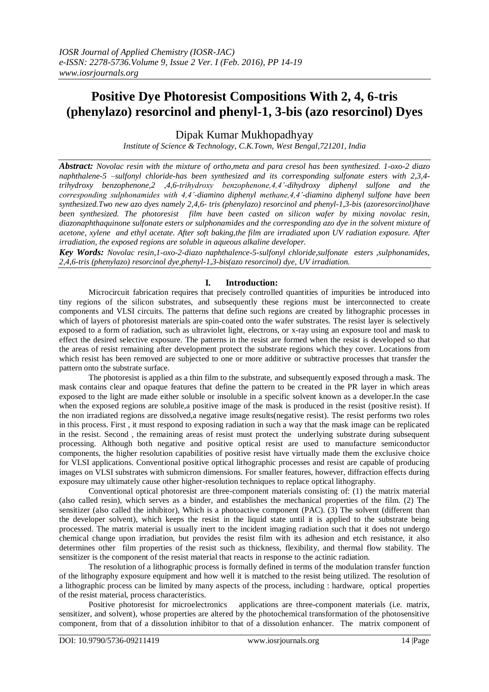# **Positive Dye Photoresist Compositions With 2, 4, 6-tris (phenylazo) resorcinol and phenyl-1, 3-bis (azo resorcinol) Dyes**

Dipak Kumar Mukhopadhyay

*Institute of Science & Technology, C.K.Town, West Bengal,721201, India*

*Abstract: Novolac resin with the mixture of ortho,meta and para cresol has been synthesized. 1-oxo-2 diazo naphthalene-5 –sulfonyl chloride-has been synthesized and its corresponding sulfonate esters with 2,3,4 trihydroxy benzophenone,2 ,4,6-trihydroxy benzophenone,4,4'-dihydroxy diphenyl sulfone and the corresponding sulphonamides with 4,4'-diamino diphenyl methane,4,4'-diamino diphenyl sulfone have been synthesized.Two new azo dyes namely 2,4,6- tris (phenylazo) resorcinol and phenyl-1,3-bis (azoresorcinol)have been synthesized. The photoresist film have been casted on silicon wafer by mixing novolac resin, diazonaphthaquinone sulfonate esters or sulphonamides and the corresponding azo dye in the solvent mixture of acetone, xylene and ethyl acetate. After soft baking,the film are irradiated upon UV radiation exposure. After irradiation, the exposed regions are soluble in aqueous alkaline developer.*

*Key Words: Novolac resin,1-oxo-2-diazo naphthalence-5-sulfonyl chloride,sulfonate esters ,sulphonamides, 2,4,6-tris (phenylazo) resorcinol dye,phenyl-1,3-bis(azo resorcinol) dye, UV irradiation.*

# **I. Introduction:**

Microcircuit fabrication requires that precisely controlled quantities of impurities be introduced into tiny regions of the silicon substrates, and subsequently these regions must be interconnected to create components and VLSI circuits. The patterns that define such regions are created by lithographic processes in which of layers of photoresist materials are spin-coated onto the wafer substrates. The resist layer is selectively exposed to a form of radiation, such as ultraviolet light, electrons, or x-ray using an exposure tool and mask to effect the desired selective exposure. The patterns in the resist are formed when the resist is developed so that the areas of resist remaining after development protect the substrate regions which they cover. Locations from which resist has been removed are subjected to one or more additive or subtractive processes that transfer the pattern onto the substrate surface.

The photoresist is applied as a thin film to the substrate, and subsequently exposed through a mask. The mask contains clear and opaque features that define the pattern to be created in the PR layer in which areas exposed to the light are made either soluble or insoluble in a specific solvent known as a developer.In the case when the exposed regions are soluble,a positive image of the mask is produced in the resist (positive resist). If the non irradiated regions are dissolved,a negative image results(negative resist). The resist performs two roles in this process. First , it must respond to exposing radiation in such a way that the mask image can be replicated in the resist. Second , the remaining areas of resist must protect the underlying substrate during subsequent processing. Although both negative and positive optical resist are used to manufacture semiconductor components, the higher resolution capabilities of positive resist have virtually made them the exclusive choice for VLSI applications. Conventional positive optical lithographic processes and resist are capable of producing images on VLSI substrates with submicron dimensions. For smaller features, however, diffraction effects during exposure may ultimately cause other higher-resolution techniques to replace optical lithography.

Conventional optical photoresist are three-component materials consisting of: (1) the matrix material (also called resin), which serves as a binder, and establishes the mechanical properties of the film. (2) The sensitizer (also called the inhibitor), Which is a photoactive component (PAC). (3) The solvent (different than the developer solvent), which keeps the resist in the liquid state until it is applied to the substrate being processed. The matrix material is usually inert to the incident imaging radiation such that it does not undergo chemical change upon irradiation, but provides the resist film with its adhesion and etch resistance, it also determines other film properties of the resist such as thickness, flexibility, and thermal flow stability. The sensitizer is the component of the resist material that reacts in response to the actinic radiation.

The resolution of a lithographic process is formally defined in terms of the modulation transfer function of the lithography exposure equipment and how well it is matched to the resist being utilized. The resolution of a lithographic process can be limited by many aspects of the process, including : hardware, optical properties of the resist material, process characteristics.

Positive photoresist for microelectronics applications are three-component materials (i.e. matrix, sensitizer, and solvent), whose properties are altered by the photochemical transformation of the photosensitive component, from that of a dissolution inhibitor to that of a dissolution enhancer. The matrix component of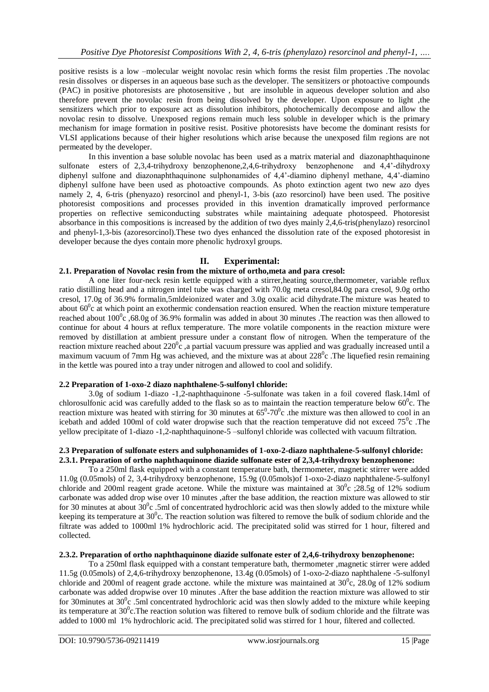positive resists is a low –molecular weight novolac resin which forms the resist film properties .The novolac resin dissolves or disperses in an aqueous base such as the developer. The sensitizers or photoactive compounds (PAC) in positive photoresists are photosensitive , but are insoluble in aqueous developer solution and also therefore prevent the novolac resin from being dissolved by the developer. Upon exposure to light ,the sensitizers which prior to exposure act as dissolution inhibitors, photochemically decompose and allow the novolac resin to dissolve. Unexposed regions remain much less soluble in developer which is the primary mechanism for image formation in positive resist. Positive photoresists have become the dominant resists for VLSI applications because of their higher resolutions which arise because the unexposed film regions are not permeated by the developer.

In this invention a base soluble novolac has been used as a matrix material and diazonaphthaquinone sulfonate esters of 2,3,4-trihydroxy benzophenone,2,4,6-trihydroxy benzophenone and 4,4'-dihydroxy diphenyl sulfone and diazonaphthaquinone sulphonamides of 4,4'-diamino diphenyl methane, 4,4'-diamino diphenyl sulfone have been used as photoactive compounds. As photo extinction agent two new azo dyes namely 2, 4, 6-tris (phenyazo) resorcinol and phenyl-1, 3-bis (azo resorcinol) have been used. The positive photoresist compositions and processes provided in this invention dramatically improved performance properties on reflective semiconducting substrates while maintaining adequate photospeed. Photoresist absorbance in this compositions is increased by the addition of two dyes mainly 2,4,6-tris(phenylazo) resorcinol and phenyl-1,3-bis (azoresorcinol).These two dyes enhanced the dissolution rate of the exposed photoresist in developer because the dyes contain more phenolic hydroxyl groups.

## **II. Experimental:**

## **2.1. Preparation of Novolac resin from the mixture of ortho,meta and para cresol:**

A one liter four-neck resin kettle equipped with a stirrer,heating source,thermometer, variable reflux ratio distilling head and a nitrogen intel tube was charged with 70.0g meta cresol,84.0g para cresol, 9.0g ortho cresol, 17.0g of 36.9% formalin,5mldeionized water and 3.0g oxalic acid dihydrate.The mixture was heated to about  $60^{\circ}$ c at which point an exothermic condensation reaction ensured. When the reaction mixture temperature reached about  $100^{\circ}$ c, 68.0g of 36.9% formalin was added in about 30 minutes. The reaction was then allowed to continue for about 4 hours at reflux temperature. The more volatile components in the reaction mixture were removed by distillation at ambient pressure under a constant flow of nitrogen. When the temperature of the reaction mixture reached about 220 $\degree$ , a partial vacuum pressure was applied and was gradually increased until a maximum vacuum of 7mm Hg was achieved, and the mixture was at about  $228^\circ$ c. The liquefied resin remaining in the kettle was poured into a tray under nitrogen and allowed to cool and solidify.

## **2.2 Preparation of 1-oxo-2 diazo naphthalene-5-sulfonyl chloride:**

3.0g of sodium 1-diazo -1,2-naphthaquinone -5-sulfonate was taken in a foil covered flask.14ml of chlorosulfonic acid was carefully added to the flask so as to maintain the reaction temperature below  $60^{\circ}$ c. The reaction mixture was heated with stirring for 30 minutes at  $65^{\circ}$ -70 $^{\circ}$ c .the mixture was then allowed to cool in an icebath and added 100ml of cold water dropwise such that the reaction temperatuve did not exceed 75<sup>°</sup>c. The yellow precipitate of 1-diazo -1,2-naphthaquinone-5 –sulfonyl chloride was collected with vacuum filtration.

## **2.3 Preparation of sulfonate esters and sulphonamides of 1-oxo-2-diazo naphthalene-5-sulfonyl chloride: 2.3.1. Preparation of ortho naphthaquinone diazide sulfonate ester of 2,3,4-trihydroxy benzophenone:**

To a 250ml flask equipped with a constant temperature bath, thermometer, magnetic stirrer were added 11.0g (0.05mols) of 2, 3,4-trihydroxy benzophenone, 15.9g (0.05mols)of 1-oxo-2-diazo naphthalene-5-sulfonyl chloride and 200ml reagent grade acetone. While the mixture was maintained at  $30^{\circ}$ c;  $28.5$ g of 12% sodium carbonate was added drop wise over 10 minutes ,after the base addition, the reaction mixture was allowed to stir for 30 minutes at about  $30^{\circ}$ c. 5ml of concentrated hydrochloric acid was then slowly added to the mixture while keeping its temperature at  $30^0$ c. The reaction solution was filtered to remove the bulk of sodium chloride and the filtrate was added to 1000ml 1% hydrochloric acid. The precipitated solid was stirred for 1 hour, filtered and collected.

## **2.3.2. Preparation of ortho naphthaquinone diazide sulfonate ester of 2,4,6-trihydroxy benzophenone:**

To a 250ml flask equipped with a constant temperature bath, thermometer ,magnetic stirrer were added 11.5g (0.05mols) of 2,4,6-trihydroxy benzophenone, 13.4g (0.05mols) of 1-oxo-2-diazo naphthalene -5-sulfonyl chloride and 200ml of reagent grade acctone. while the mixture was maintained at  $30^{\circ}$ c, 28.0g of 12% sodium carbonate was added dropwise over 10 minutes .After the base addition the reaction mixture was allowed to stir for 30 minutes at  $30^0$ c .5ml concentrated hydrochloric acid was then slowly added to the mixture while keeping its temperature at  $30^{\circ}$ c. The reaction solution was filtered to remove bulk of sodium chloride and the filtrate was added to 1000 ml 1% hydrochloric acid. The precipitated solid was stirred for 1 hour, filtered and collected.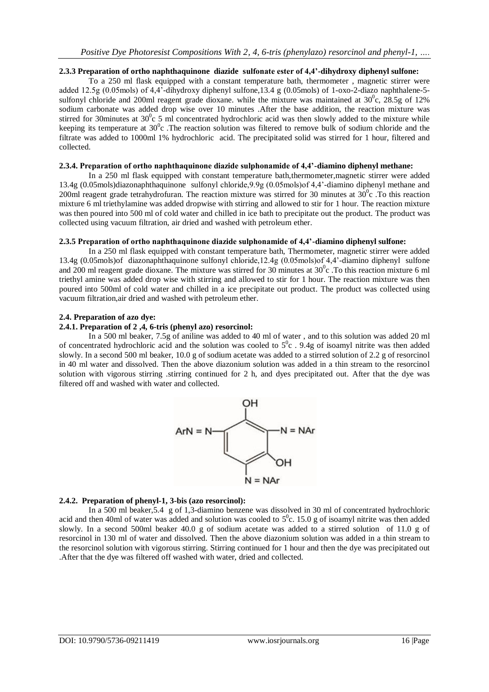#### **2.3.3 Preparation of ortho naphthaquinone diazide sulfonate ester of 4,4'-dihydroxy diphenyl sulfone:**

To a 250 ml flask equipped with a constant temperature bath, thermometer , magnetic stirrer were added 12.5g (0.05mols) of 4,4'-dihydroxy diphenyl sulfone,13.4 g (0.05mols) of 1-oxo-2-diazo naphthalene-5 sulfonyl chloride and 200ml reagent grade dioxane. while the mixture was maintained at  $30^{\circ}$ c,  $28.5$ g of 12% sodium carbonate was added drop wise over 10 minutes .After the base addition, the reaction mixture was stirred for 30minutes at  $30^{\circ}$ c 5 ml concentrated hydrochloric acid was then slowly added to the mixture while keeping its temperature at  $30^0$ c. The reaction solution was filtered to remove bulk of sodium chloride and the filtrate was added to 1000ml 1% hydrochloric acid. The precipitated solid was stirred for 1 hour, filtered and collected.

#### **2.3.4. Preparation of ortho naphthaquinone diazide sulphonamide of 4,4'-diamino diphenyl methane:**

In a 250 ml flask equipped with constant temperature bath,thermometer,magnetic stirrer were added 13.4g (0.05mols)diazonaphthaquinone sulfonyl chloride,9.9g (0.05mols)of 4,4'-diamino diphenyl methane and 200ml reagent grade tetrahydrofuran. The reaction mixture was stirred for 30 minutes at  $30^{\circ}$ c. To this reaction mixture 6 ml triethylamine was added dropwise with stirring and allowed to stir for 1 hour. The reaction mixture was then poured into 500 ml of cold water and chilled in ice bath to precipitate out the product. The product was collected using vacuum filtration, air dried and washed with petroleum ether.

## **2.3.5 Preparation of ortho naphthaquinone diazide sulphonamide of 4,4'-diamino diphenyl sulfone:**

In a 250 ml flask equipped with constant temperature bath, Thermometer, magnetic stirrer were added 13.4g (0.05mols)of diazonaphthaquinone sulfonyl chloride,12.4g (0.05mols)of 4,4'-diamino diphenyl sulfone and 200 ml reagent grade dioxane. The mixture was stirred for 30 minutes at  $30^{\circ}$ c. To this reaction mixture 6 ml triethyl amine was added drop wise with stirring and allowed to stir for 1 hour. The reaction mixture was then poured into 500ml of cold water and chilled in a ice precipitate out product. The product was collected using vacuum filtration,air dried and washed with petroleum ether.

#### **2.4. Preparation of azo dye:**

#### **2.4.1. Preparation of 2 ,4, 6-tris (phenyl azo) resorcinol:**

In a 500 ml beaker, 7.5g of aniline was added to 40 ml of water , and to this solution was added 20 ml of concentrated hydrochloric acid and the solution was cooled to  $5^\circ$ c. 9.4g of isoamyl nitrite was then added slowly. In a second 500 ml beaker, 10.0 g of sodium acetate was added to a stirred solution of 2.2 g of resorcinol in 40 ml water and dissolved. Then the above diazonium solution was added in a thin stream to the resorcinol solution with vigorous stirring .stirring continued for 2 h, and dyes precipitated out. After that the dye was filtered off and washed with water and collected.



#### **2.4.2. Preparation of phenyl-1, 3-bis (azo resorcinol):**

In a 500 ml beaker,5.4 g of 1,3-diamino benzene was dissolved in 30 ml of concentrated hydrochloric acid and then 40ml of water was added and solution was cooled to  $5^\circ$ c. 15.0 g of isoamyl nitrite was then added slowly. In a second 500ml beaker 40.0 g of sodium acetate was added to a stirred solution of 11.0 g of resorcinol in 130 ml of water and dissolved. Then the above diazonium solution was added in a thin stream to the resorcinol solution with vigorous stirring. Stirring continued for 1 hour and then the dye was precipitated out .After that the dye was filtered off washed with water, dried and collected.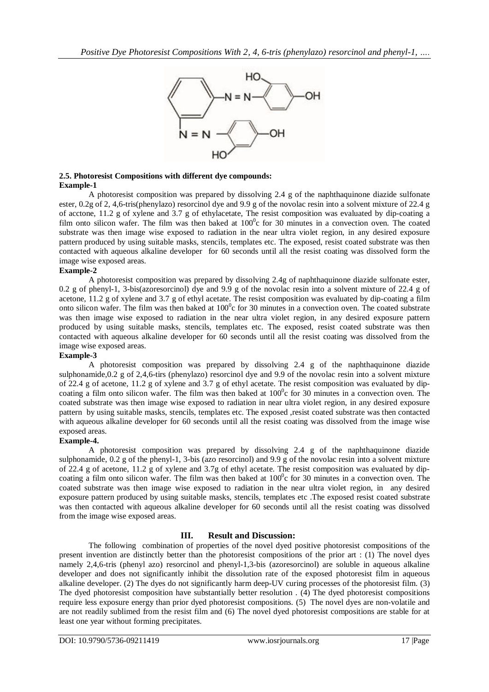

# **2.5. Photoresist Compositions with different dye compounds: Example-1**

A photoresist composition was prepared by dissolving 2.4 g of the naphthaquinone diazide sulfonate ester, 0.2g of 2, 4,6-tris(phenylazo) resorcinol dye and 9.9 g of the novolac resin into a solvent mixture of 22.4 g of acctone, 11.2 g of xylene and 3.7 g of ethylacetate, The resist composition was evaluated by dip-coating a film onto silicon wafer. The film was then baked at  $100^{\circ}$ c for 30 minutes in a convection oven. The coated substrate was then image wise exposed to radiation in the near ultra violet region, in any desired exposure pattern produced by using suitable masks, stencils, templates etc. The exposed, resist coated substrate was then contacted with aqueous alkaline developer for 60 seconds until all the resist coating was dissolved form the image wise exposed areas.

# **Example-2**

A photoresist composition was prepared by dissolving 2.4g of naphthaquinone diazide sulfonate ester, 0.2 g of phenyl-1, 3-bis(azoresorcinol) dye and 9.9 g of the novolac resin into a solvent mixture of 22.4 g of acetone, 11.2 g of xylene and 3.7 g of ethyl acetate. The resist composition was evaluated by dip-coating a film onto silicon wafer. The film was then baked at  $100^{\circ}$ c for 30 minutes in a convection oven. The coated substrate was then image wise exposed to radiation in the near ultra violet region, in any desired exposure pattern produced by using suitable masks, stencils, templates etc. The exposed, resist coated substrate was then contacted with aqueous alkaline developer for 60 seconds until all the resist coating was dissolved from the image wise exposed areas.

# **Example-3**

A photoresist composition was prepared by dissolving 2.4 g of the naphthaquinone diazide sulphonamide,0.2 g of 2,4,6-tirs (phenylazo) resorcinol dye and 9.9 of the novolac resin into a solvent mixture of 22.4 g of acetone, 11.2 g of xylene and 3.7 g of ethyl acetate. The resist composition was evaluated by dipcoating a film onto silicon wafer. The film was then baked at  $100^{\circ}$ c for 30 minutes in a convection oven. The coated substrate was then image wise exposed to radiation in near ultra violet region, in any desired exposure pattern by using suitable masks, stencils, templates etc. The exposed ,resist coated substrate was then contacted with aqueous alkaline developer for 60 seconds until all the resist coating was dissolved from the image wise exposed areas.

# **Example-4.**

A photoresist composition was prepared by dissolving 2.4 g of the naphthaquinone diazide sulphonamide, 0.2 g of the phenyl-1, 3-bis (azo resorcinol) and 9.9 g of the novolac resin into a solvent mixture of 22.4 g of acetone, 11.2 g of xylene and 3.7g of ethyl acetate. The resist composition was evaluated by dipcoating a film onto silicon wafer. The film was then baked at  $100^{\circ}$ c for 30 minutes in a convection oven. The coated substrate was then image wise exposed to radiation in the near ultra violet region, in any desired exposure pattern produced by using suitable masks, stencils, templates etc .The exposed resist coated substrate was then contacted with aqueous alkaline developer for 60 seconds until all the resist coating was dissolved from the image wise exposed areas.

# **III. Result and Discussion:**

The following combination of properties of the novel dyed positive photoresist compositions of the present invention are distinctly better than the photoresist compositions of the prior art : (1) The novel dyes namely 2,4,6-tris (phenyl azo) resorcinol and phenyl-1,3-bis (azoresorcinol) are soluble in aqueous alkaline developer and does not significantly inhibit the dissolution rate of the exposed photoresist film in aqueous alkaline developer. (2) The dyes do not significantly harm deep-UV curing processes of the photoresist film. (3) The dyed photoresist composition have substantially better resolution . (4) The dyed photoresist compositions require less exposure energy than prior dyed photoresist compositions. (5) The novel dyes are non-volatile and are not readily sublimed from the resist film and (6) The novel dyed photoresist compositions are stable for at least one year without forming precipitates.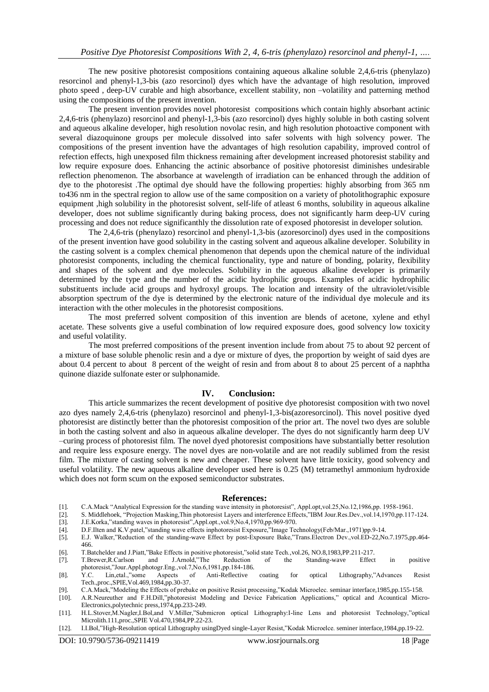The new positive photoresist compositions containing aqueous alkaline soluble 2,4,6-tris (phenylazo) resorcinol and phenyl-1,3-bis (azo resorcinol) dyes which have the advantage of high resolution, improved photo speed , deep-UV curable and high absorbance, excellent stability, non –volatility and patterning method using the compositions of the present invention.

The present invention provides novel photoresist compositions which contain highly absorbant actinic 2,4,6-tris (phenylazo) resorcinol and phenyl-1,3-bis (azo resorcinol) dyes highly soluble in both casting solvent and aqueous alkaline developer, high resolution novolac resin, and high resolution photoactive component with several diazoquinone groups per molecule dissolved into safer solvents with high solvency power. The compositions of the present invention have the advantages of high resolution capability, improved control of refection effects, high unexposed film thickness remaining after development increased photoresist stability and low require exposure does. Enhancing the actinic absorbance of positive photoresist diminishes undesirable reflection phenomenon. The absorbance at wavelength of irradiation can be enhanced through the addition of dye to the photoresist .The optimal dye should have the following properties: highly absorbing from 365 nm to436 nm in the spectral region to allow use of the same composition on a variety of photolithographic exposure equipment ,high solubility in the photoresist solvent, self-life of atleast 6 months, solubility in aqueous alkaline developer, does not sublime significantly during baking process, does not significantly harm deep-UV curing processing and does not reduce significanthly the dissolution rate of exposed photoresist in developer solution.

The 2,4,6-tris (phenylazo) resorcinol and phenyl-1,3-bis (azoresorcinol) dyes used in the compositions of the present invention have good solubility in the casting solvent and aqueous alkaline developer. Solubility in the casting solvent is a complex chemical phenomenon that depends upon the chemical nature of the individual photoresist components, including the chemical functionality, type and nature of bonding, polarity, flexibility and shapes of the solvent and dye molecules. Solubility in the aqueous alkaline developer is primarily determined by the type and the number of the acidic hydrophilic groups. Examples of acidic hydrophilic substituents include acid groups and hydroxyl groups. The location and intensity of the ultraviolet/visible absorption spectrum of the dye is determined by the electronic nature of the individual dye molecule and its interaction with the other molecules in the photoresist compositions.

The most preferred solvent composition of this invention are blends of acetone, xylene and ethyl acetate. These solvents give a useful combination of low required exposure does, good solvency low toxicity and useful volatility.

The most preferred compositions of the present invention include from about 75 to about 92 percent of a mixture of base soluble phenolic resin and a dye or mixture of dyes, the proportion by weight of said dyes are about 0.4 percent to about 8 percent of the weight of resin and from about 8 to about 25 percent of a naphtha quinone diazide sulfonate ester or sulphonamide.

## **IV. Conclusion:**

This article summarizes the recent development of positive dye photoresist composition with two novel azo dyes namely 2,4,6-tris (phenylazo) resorcinol and phenyl-1,3-bis(azoresorcinol). This novel positive dyed photoresist are distinctly better than the photoresist composition of the prior art. The novel two dyes are soluble in both the casting solvent and also in aqueous alkaline developer. The dyes do not significantly harm deep UV –curing process of photoresist film. The novel dyed photoresist compositions have substantially better resolution and require less exposure energy. The novel dyes are non-volatile and are not readily sublimed from the resist film. The mixture of casting solvent is new and cheaper. These solvent have little toxicity, good solvency and useful volatility. The new aqueous alkaline developer used here is 0.25 (M) tetramethyl ammonium hydroxide which does not form scum on the exposed semiconductor substrates.

#### **References:**

- [1]. C.A.Mack "Analytical Expression for the standing wave intensity in photoresist", Appl.opt,vol.25,No.12,1986,pp. 1958-1961.
- [2]. S. Middlehoek, "Projection Masking,Thin photoresist Layers and interference Effects,"IBM Jour.Res.Dev.,vol.14,1970,pp.117-124.
- [3]. J.E.Korka,"standing waves in photoresist",Appl.opt.,vol.9,No.4,1970,pp.969-970.
- [4]. D.F.Ilten and K.V.patel,"standing wave effects inphotoresist Exposure,"Image Technology(Feb/Mar.,1971)pp.9-14.
- [5]. E.J. Walker,"Reduction of the standing-wave Effect by post-Exposure Bake,"Trans.Electron Dev.,vol.ED-22,No.7.1975,pp.464- 466.
- [6]. T.Batchelder and J.Piatt,"Bake Effects in positive photoresist,"solid state Tech.,vol.26, NO.8,1983,PP.211-217.
- [7]. T.Brewer,R.Carlson and J.Arnold,"The Reduction of the Standing-wave Effect in positive photoresist,"Jour.Appl.photogr.Eng.,vol.7,No.6,1981,pp.184-186.<br>Y.C. Lin.etal.."some Aspects of Anti-Reflective
- [8]. Y.C. Lin,etal.,"some Aspects of Anti-Reflective coating for optical Lithography,"Advances Resist Tech.,proc.,SPIE,Vol.469,1984,pp.30-37.
- [9]. C.A.Mack,"Modeling the Effects of prebake on positive Resist processing,"Kodak Microelec. seminar interface,1985,pp.155-158.
- [10]. A.R.Neureuther and F.H.Dill,"photoresist Modeling and Device Fabrication Applications," optical and Acountical Micro-Electronics,polytechnic press,1974,pp.233-249.
- [11]. H.L.Stover,M.Nagler,I.Bol,and V.Miller,"Submicron optical Lithography:I-line Lens and photoresist Technology,"optical Microlith.111,proc.,SPIE Vol.470,1984,PP.22-23.
- [12]. I.I.Bol,"High-Resolution optical Lithography usingDyed single-Layer Resist,"Kodak Microelce. seminer interface,1984,pp.19-22.